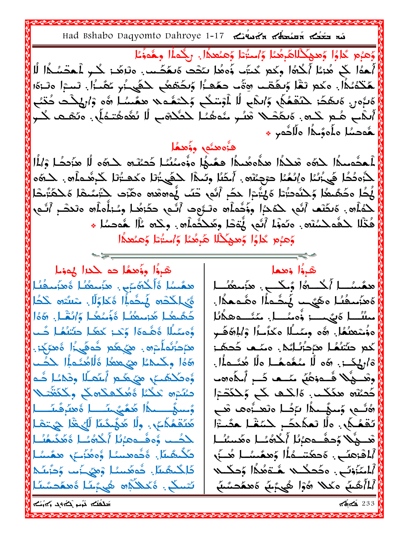Had Bshabo Daqyomto Dahroye 1-17 محتفى بالمستحكم بتعليم المستحكم بمن

أَوَهِبُمْ كَاوُا وَهُجَكْلَاهُ شَيْا وَاسْتُهَا وَهِنُعَجَّا. رِجَّهَأَا وَهُوَٰٓئَا أَهْمَا ﴾ هُزِيْا أَجْهَا وِكُم كُنَّت وُهِهُا بَيْتُت هَبْكُتب. هِنْهُذ ۚ جُبِ لَمُحْشَدًا لَٰا هَنْكُمُلًا. مَكْمُ تَقْلُ وَبِـقَمْت هِمَّا حَقَقْنَا وَبِحَمْعَهُمْ لِكَهْلَ وَعُبَـٰزًا. تَسْتَرَا مَنْزَةَ ەُبُونِ ەَىھَكَرْ حْثَقْعُكَى وَٱلنَّاحِ لَا ـأَوْسَكَى وَحْتَمْـمَـى هَمْـسُـلُ هُو وَٱرْكِحْـت خُتْبَى أَلَىكُم هُـع كُـن، هَيْضُكُمْ شَيْءٍ مُنْمَعُمًا لِكَثَلَاثَهِم لَا يُعْمَعُنَمُلًا وَيَنْفَصُ كُـر ِ هُء*َهنا* مأُهوُندا ملَّاثُمنِ \*

## فأوهثم وأهما

لْمَحْمِىمُا كَنَّهُ مْكَمُّا مِدُّەمُىمُّا هِمَّىمُّا ەُوْمِىُنْىَا خَصْنَى كَلَّە لَّا مِزَحِصًا وْٱلْمَا حَدُّه دُمَا هَيْ ُنُمَّا هِ إِنَّهُمْا حَرْجِئْتُم . أَمَمَّا وِنَبْذَا حَكَيْبُوْلِ مَكْتَبِفُوا مَ حَكَ لْمَحْا وَحَمَّىهُا وَحِنَّوْطَا وَلِتُبْتِرَا حَجَّمٍ أَنَّهِ حَمَّدٍ لَهُوهُو وَمَنْهَا وَحَدَّمَتُو الْمَحْ لْحُمْلُهِ. هَبِطَيْمِ أَنَّهِ لِحُمْدُ! وِذُهُمْه وَنَـزُود أَنَّـهِ حَفَرْهُا وِـُـزَاْهِأَه وتَحْشَر أَنَّـه هُذَٰلَا حَقُوحَـنُنْهُ. ومَوْمًا أَنُوبٍ فَيُوٓطَ وِهَٰحَفَّوَلُهُ . وِحْمَدُ مَالَ هُوصِمُا \* وَهزُم كَاوُا وَمِدِكْلًا هَرِمُنَا وَاسْتُهَا وَصَعِدًا

شَرْدًا وِذَهِمًا هو حَذَا لِهِ ذِيل ھىشا ۋاڭھىپ. ھۇسھىل ۋھۇسھىل ىُّ الْكَشْرَ ۖ يُحِشُوبُوا وَكَاوَلًا ﴾ مثلثَتِهِ عَكْدًا حَشَيْئًا هَٰزِيْتِكْنَا وُْيُبُعْدَا وَٱلثَّلْ: 6% وُومِيْلًا وُهُووَا وَيْدِ كَعَمَا حِتَّتَهُا حُبّ هَهُا وكَمِمْنَا مِيَحِمْدَا ةَلْامُحْدَمِلَا حَدَّب وْهِكْتُمْسِّيْ مِيْكُمْ أَسْمَلًا وِثْمَاسًا شُه مئتوه تمكنا ةمكعكمكي وككقتما وَّسِيٍّ مِدًّا هَمَّيَّ تَسْمَلُ هُجِدٌ فَتَنَّ لِ مَتَعَمَّكَتِ. ولَّا مَحْهُجَتَنَّا لَّكَ عَنَّا حَيْتَهَا للصُّب وُهڤــهمرُنُا أَبْدُهُـُــا ةَهَٰذُـمُـُـا صَّحْمَعُىنَا. ةَجُوهِمْسَا وُوهُنَّى مَعْسَل كَالْكُنفُنَا. شُەھُنىئا ۋەيخ زَما وُشَبْط ئسكى. ةَكَلاَبُه هُيَّئَا ةَمْهَصَنَّىلَ

بحثاءته عره وحفظته بحفقة

شَرْوُا وَمَعَا همَسُط أَكْسِهَا وُلِكَسِي. هزَيْتَهُنَا بالمُعصُّر الْمَضْنِ سَرِيْهُ وَالْمُعَامَلَ مشَـــا ەَپَّـــــز ۋُەمُــــا. مَنْـَـــەھكُلا ەؤشقنىغا. ھە مِمَىلًا مكْلَسًا وْالِمْھَكِ كُم حَتَّتُهُا مَرَّجَزُنُائِكَ. مَنْبُ خَدَهُ: ة/ريحَــز. «هَ للْهُ مُـمْـَـمِــل ه للْهُ هُـئَـــملُّل. وقْنَــوْبَا فَــدَوْهُمَّ مَنْــعَا كَــزِ أَنْكُلُوهَا كَعِنْتُهِ هِكَكْبٍ. ةَالْكُـْفْ لَكُنْ وَلِكَنْتَهِ ا ھُنُــم، وَسَمُّـــداًا بَرْتُــا ەتھــُّەھـَ ھَــمِ تَقَمُّكَنِ. وَلَا تَعَكِّدَكُمْ حَسَّمَّا حَدَّثَا ِ تَعِـــوُلا وَحفُـــومُرُنُا أَبْـكُرْهُــُــا وَهُـسْنُــا أَمْلَاهُ: مَحْمَدُ مَعْنَدَ مُلْمًا وَحَدَّمَسُــا هُـــَزَى ٱلمُنۡوَضَى وَحَدَلَكَ هُـتَوَهُدُا وَحَكَــٰهَ أَمْلَأَهُمْ مَكَلًا هُوْا هُيءٌ مُ مَعْمَدَسَّنِّ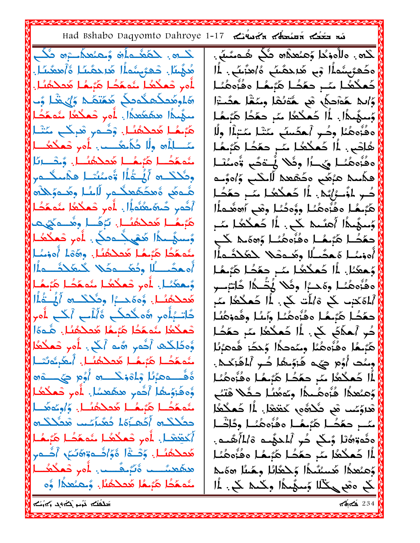Had Bshabo Daqyomto Dahroye 1-17 محتفظه المستحدثة المتفقح بتفقيح بدين

لْمِسْمِ . لَمَعْشُمِلُهُ وُسِمْعِكُمْ وَمِ فَكُمْ هُدُمَا. حْمَىُمُواْل هُرىجِمَيْلِ وْأَمِعْمَالِ. لْمَى ضَمَحْمَدَا مُتَمَمَّدُا هَبَيْمَا مَصْحَمْتَا. هَاوَهُدِكُمِنُدْدِكُمْ هُمُتَمَكِّمْ وَأَيْتَقَالُ وَب سَهَّدًا مِتَعَظِّطَاً. أُورِ تَعَكْظاً شَوَعَّطُ هُبْسًا مُعِنْهُلْا. وْشُمِرِ مْرِكْبِ مَتْلَا مَّـــالَمُ وَلَا تُذَّمَّــَـبٍ. لَمُو تَـعَكْمُـــا مْدَهَدًا هَبْهُا هُدَدْهُنًا. وُحْسَائًا وظُكْده أَهُنَّةُ أَا قُومُنُسًا فِأَمِكُور هُــوهُم وُمحَـهُمحكُــوبِ لَلْسُل وِهُــوَوَجَلَاتِهِ أَدُّم حَدَّمَ حَثَمَاً إِن أُمْرِ حَمْحُهَا مُدَمَّدًا كَرْهُا مُحكمُنًا. تَرْفَعا وِمُحكَمِد وُسْلَمُ اللَّهُ إِنَّـٰهِ مِنْ اللَّهِ وَعِكْفُ ا بِنُمَعُدًا هَبُعُا هُدَدْهُنَا. وَ96 أُوضًا أُه هدُّ اللَّهِ وحُمَّدَهُ لا يَحْمَلْكُ هِ أَل وً معَنْدَا. لأُورِ تَعَكْفُ النُوحَكُمَا وَيُحَمَّلُ هُعِنْهُمُـا. وُهَمْنَا وِضُكْتُ أَيُّـتُهُاْ] حَاتِيَٰ أُدبِ وَدُهَكُمْكُمْ وَٱلْمَلْسِ اْكُسْ لِمُورِ تَعَكَّمُا مُتَمَعُّدُا هُبُعُا مُحَكِّمُلُّا. هُءَهُ! وُهِ مَلكُمْ أَخُمْرٍ رَهُمْ أَلَكَ . لِمُعْ دُهْكُمُا مْتَمَعُدًا هُرُجُنَا هُدَدْهُنَا. أَيْعَذْتَهُنَا ةُفَـــمِرْنَا وْءُوْجْــــه أُوُم كَيــــةه وُّەفَرْوُلْھُا ٱتَّدَىرِ مَمَعَّمَىٰاً. لَمْعِرِ تَـعَكْمًا شَمَعُدًا هَزُهُما هُدَدْهُمُ). وَأُوسَاهُم حثُلُكُله أَكُمْ أَوْمُ الْمُكَايَّبِ مُحَلَّكُلُهِ أَحْقِقُا. أُورِ تَمَكْعُا سُومَٰدًا مُّرَحُنًا مَعْتَـٰهُـٰـَا. وَصْـَۃْا هُوَاضُـُدوَهُنَـّى أَضُـٰدَرِ مدهَّمشــــــــــــــة وَتَرْمَقْــــــــــة و أُومٍ كَــْمَكْمُــــا مْتَمَعَّدًا هَٰٓبَـٰعًا مَّحَكَمُنًا. وَعَنْعَكًا وَّه

لَّكُمُ مُعَامَلٍ مَنْ الْمُعَامَلِ الْمُعَامَلِينَ

لكەن. ەللەفكا ۆھئ<mark>ىد</mark>گە ھ<sup>ى</sup>كى ھُــمى*ئ*ىئى. |ەكھۇپشەڭ| ۋې ھُدىكھَىِّ ەُ/ھزَىپَ . كُ كَعِنْدْمَا مَبْ حَعَجًا هَبْسُا هِ فُزْهِ هُنَا |وَ/لَمْ هَٰذَاهِكُمْ هُمْ هُٰتَانُهَا وِسَعْهَا هَشَـٰـٰٓٓا وَسَهَٰدًا. لَمَا كَعَكْتُمَا سَرِ حَعَجًا هَٰٓبَعًا |ەقْتُەھْمُا وِحُـو أَحصَّىبَ مَتْنَا مَتْبَاْلَ وِلَٰا َهُاتَبِ. أَا خَمْكُمُا سَرِ حَمَّحُا هَٰٓبَـمُا دَفَّأْدَهُنَـٰا فِيَـٰہُا وِثَلاً فِـتَدَضَّعِ قُومُنَـٰل فكأملط هزمُها وخُشْعَط لَّاسْكُنن وَاوَوُسُتَا كُــو لمؤَــوُ)بُمْ. لَمَا كَـعكْمُـا مَـْـو حمَّكُـا هَّبُـمُـا هفُّهُمَـُـا ووُهمُـُـا وهُـم أَههُـماُا وَسَهَّدَاْ أَهنَدَ كَبِ. أَا كَعَكْمَا سَرِ .<br>حَمَّصًا هَبَسُا هِفَزْهِهُنا وَهوَ A كَبِ أُهزَمُه مَعْصَلًا وهُـومْي لِلْعَلَامُ أَمْرَ أَوَحِكَمُا. لَمَا كَحِكْمُا مَبِ حِجَكَا هَبُحُا |ەفْزْەھُنْـا وەَحـْرا وفُلا ھُتْــدًا خَلْترْسـر آلمَكَتِ كَي ةَ/لَمْت كَي. لَمَا كَسْكَعُا سَر حَمَّحُـا هَٰٓ مُـمُـا هَ فُوۡهَ هُـُـا وَٱسۡلَا وَقُوٰوَهُـُـا دُو ٱهلَاَیُ کَلِ. اُا دَهَدُهُا سَرِ دَهَٰدًا هَّبُـمُّا هِ الْهُمْا مِمُهِحِمًّا مَحِجَّۃٍ فَهِمْئِنَّا وسُت اُوُم کیے فَرْوَٰىھُا خُــو اْلمَفْرَحُــدْ. لَمْ الْمَحْمَدُ سَمْ حَمَّصًا هَبَعْا مَفَّزْهِ مُنَا إِوَّمَنْعَدَا ۖ فُنُوهُــدًا ۖ وِنَـُومُنَـٰلِ دَخَـٰلًا قُتَبُ هْدَوِّسْت هْمِ شَكْرُهُمْ كَتْتَقَلْ: لَمَا كَمْكْتُدَا مَّبِ حَمَّصًا هَبُمُّا هِ فُنُهِ هُنَّا وَدَّاشًا ِ هِ دُوَوْمَا لَوُحْکُمْ دُرِ ٱلْمَدْهُــدِ وَٱلْمُأَهَّـدِ. لُما كَمْحُمُّا مَّرِ حَمَّحًا هَٰٓبَمُّا وَفُّزُوهُنَا ۖ أؤهنُعجاً هُسسُماً وَحْعَابًا وهَسًا 2019 لَّهُ وَهُوَ يَكْتُلُمْ وَسَهْمَةً وَسَلَمَتُكُمْ وَهُوَ كُمْهِ مِنْ مَنْ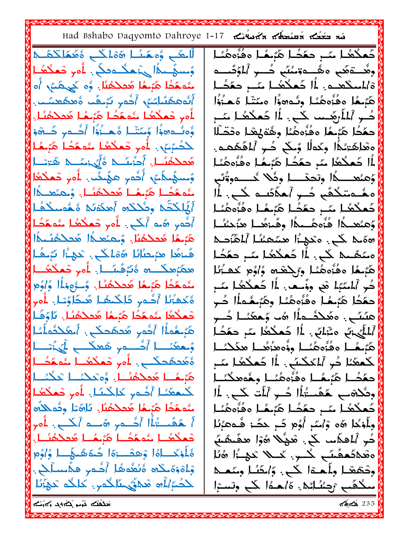Had Bshabo Daqyomto Dahroye 1-17 مَنْ تَسْتَعْمَى Had Bshabo Daqyomto Dahroye 1-17

لَّاحَفَ وُهِمَّسُا هُمْلَكُم ةَهَمَّاتِكُمْ \$ وَّسِيرُهُمْ مَا مِنْ مِكْتَمَاتِي الْمَسْتَمِينَ مُفَهَّدًا هَُبُهُا هُدَدْهُنَّا. وُمَ خَيْرَهُنَّى أَم أَبْدَهِهَنَّاسٌ أَخُم تَبْعُب ةَههُمْسَب. لْمَرِ تَعَكّْفُا شَمَعُكُمْ هَٰٓبُعُا هَٰدَكَهُنَا. وُّەشەھۇا وُحَتْسَا ەُھسۇرُّا آَشُـەرِ شَــ﴿وَ لْحُدُبَبَ. لِمَارِ تَعَكْفُ حُمْهُمْ مُحَمَّدًا مَّبَعُّا مُعطِمُنُا. أُدَّنِبُ هُ أَيْ مَكَ مَتَبَارِ وَّسَايُمَانَىْ، أَخُمْرَ عَايُمْتَ . أُمْرَ خَعَلْكُمَا مُفَهَّدُ الْمُرْجُمُ الْمُحَكِّفُ الْمُقَالِ وَعَمَّدَ الْمَا أَيُمَلِّكُمْ وِثَلِّكُلُّهِ أَهْدَّمَكُمْ ةَحْمَسِكُفُّا أَدُّمِر شَد أَكَّى. لمُور تَـعكَمُـا مُدَعَّدًا هُرُمُّا هُدَدْهُلُّا. وُحِمْعَدْاً هُدَدْهُنَّداً فَعَوْهُا مِبْحِبْائِلِ هَءَلَمْكِي. تَحِهْدُا تَبْحُلُ همَ مِنْ مِنْ مُتَوَمِّسًا. لِمُو تَعَكُمُــا عْدَهَكُلْ هَٰٓبُهُلْ هُدَكُمُنُلْ. وَّٰٓجُوهَٰٓلُلْ وَٰۡاوُمِ ةَكَعَزُنَا أَخُمرِ كَالْحُبْهَا مُحَكَاوَتَا. لِمُو تَعَكَّمُا مُتَمَعُدًا هَبُنُهَا مَدْحَمْتُنَا. تَاوَقَـَا هَ ُحُماُ أَخُم مَحمَّحكَ . أَحَكْمَاُمُا وُحْمَدُ الْمُسْمَى هُعْكَبَ لْهُ يُتَسَار ةُمُعفَعكَبِ. أُمر ْعَمْحُمَـٰ الشَّمَحُـٰ هَبْكُلْ هُدَدْهُنُلْ. وُهْدَدْنَا تَذَكَنَا لْمُعْضُلُّا أَضُمْرِ كَلِكْتُا. لِمُورِ ضْعَكْفُلُ<mark>ا</mark> مْدَهَدًا هَٰزَهُا هُدَدْهُنَا. تَاهَيْا وِدْهَلَاهِ أَ هَقَدْ يُٰذَا أَحَدو هَـده أَكَبَ . لَمَو تْمَكْتُدَا مُتْمَمُّدًا مُّبْسًا مُدَكْفُسًا. ةُلُوْكَــاهُا وْهِدْــوْهَا شُهْهُـبِهَــا وُٱوُم وْلْەْدْمَىݣُلْ ەْنْھُەھُا ۚ ٱخْـُمْرِ ھَلَاسْتْلَكَى: لْحُصَرُالُه مْدَيْ سَلَّكُمْ ِ. كَاكُمْ تَدْوَنُهُ تحنفته بالمحافظ بنقطفة

كَعِنْكُمْ مَيْنِ حَعَجُلَ هَزْنِهُمْ وَفُزُوهُنَا وهُـــةهُــه دهُـــدةمْنُـه دُــــر ٱلمُوَّتُــــد ة/اسكعد. أَا دَمْكْعُـا سَــ دَمَدُـا هَّبُـمُّا هِفُّوْهِمُّـٰا وِنُـهِوْا مِنْتْـا هَـٰٓزُّا حُــو ٱلمَأْرَهَـــت كَـــى. لَمَا حَـعَكَـمَـٰـا مَنْــرِ حَمَّطُ هَبَّمَا وَفُزُوهُمَا وِهْتَهِلِهَـا وَثَصَّلَا ءهْلِعَّتِنُـٰهُۥ وِحُدلًا وُحِكَّ حُـبِ ٱلْمُعَٰـٰهِـدِ. لَمْ الْمَحْمَدُ سَمْحُمْ هَٰذُ مَا وَهُ وَمَنْ الْمُسْتَمَرُ مِنْ الْمُسَلِّمَةِ مَنْ الْمَسْتَمَرُ مَشْمَتَكُفَّى دُــِرٍ أَحَكَّدُتَ كُـــى. لَمْ كَعِنْكُمْ مَنْ حَعَجُا هَٰٓبِمُا وَفُّوْهِمْا وَهنُعبدًا فُزْههُمسمًا وهُبْهُما هزَجِيُّنا اههَما كُلِّ . مَحْهِــُزَا هِمَّهِمُنَّا أَلْمَّزَهِــهِ ەسَھَىم كَى. لَمْ كَمِحْكَا سَرِ حَمَّكَا هَّبُهُا وفُّأُوهُمُا وَرَجِّعْدِهِ وُاوُمِ كَحَزُّمَا كُو ٱلْمُتَبَلِّ هُو وَقُسِعٍ ۚ. لَمَا كَعَكْمُا مَنْع حَمَّجًا هَٰٓبَـمًا هفُّٓوَهُـُـا وِهَّبَـمُـمَلًّا خُـب هنَّىكَ . هَ هَكْشُــدَاْلِ هُــ وَجَعَثَــا دُـــو اْلِمَيْنَ وَخْلَقَ. لَمَا حَمَّكُمَا سَرِ حَمَّدًا هَبَعْسًا هِفُزُوهُمْا وِذُوهِ وُهِ الْمَحْكَمَا كَعِمَدُا دُرِ ٱلْمُكَسَّىِ. لَمَا هَعَكْمًا سَـٰ حكَصًا هَبُعُا هِ فُتُوهُمُا وِحُومِكُمَا وِثَلاَہُبِ هَقَمَۃُا دُــوٖ آٰٓاَت کُبِ ۖ. آَٰا كَعِنْدُما مَبْ حَعَجًا هَزَمَهَا وَفُزُوهُنَا وِلَمْوَكَلِ هُوَ وَٱسۡمِ أُوُّمۡ ضَرِ حَضَرَ قُـٰٓءَهُرُنَّا ۖ أَحُرِ ٱلْمَكَامِدِ ۖ كُلِّي ۚ شَيْئًا ۚ وَٰٓ وَٰٓ الْمَحْسَنَةِ ۖ وَٰٓ الْمَحْسَنَةِ ۖ ەقىدىكىگىنى كىب. كىلا تىھا 16 ودْتّْفْقْدَا وِلّْحَدْهَا كُلّْي. وُاحْتُدًا وَسُعْدَ مَكْفَبِ رَجِئْلُكُمْ. هَاهُمَا كُبِ وِتَسْرَا  $4.235$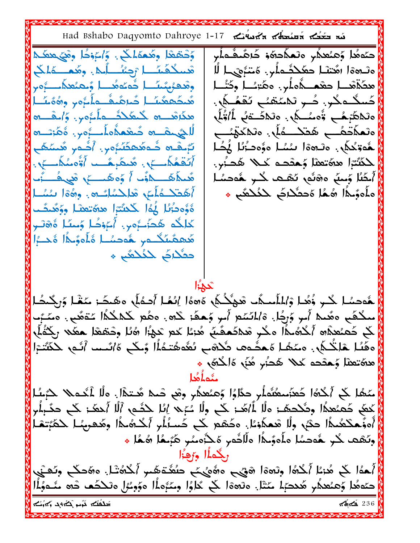Had Bshabo Daqyomto Dahroye 1-17 میں تفکیم کا استعمام اللہ کے منظم کے Had Bshabo Daqyomto Dahroye 1-17 حَمَمُعا وَعِنُعَكُمٍ وَتَعَكَّدَهُوْ خَاصَّحْفُهِمْ وَدْتَعْعْدَا وِمَعْمَلْكُمْ. وَالْمَوْدُا وَمْكَىعِطْكُ قسكفئسا وجئس أبلى وقمكهكي ەتىھەا اھتقا حككئەلمْر. مَتْبُصْل لا وقدفؤبئينسا خُمدمُصا وُحمنُعدَامِ وَم هدَٰةٌمۡــا حعْمــدُّهاٰب. ههَٰـٰبَــا وكُتُــا مُّحَمِّعَمَّنَــا حُـرَمَّــفَّــمأَُـبُومِ وَوُوَّعَـٰـاُ<br>مِنْكَرْقَــــرَّهُ ـلاَنْكَـــمِاْـبُومِ. وَالـڤـــرَّه كَسْگُــهگُر. كُــو لْكَمْتَقْبُ تَقْفُــكِّي. ەلْكاتْبْسُى ۋْەمئىسكى. ەلكاڭساڭ ئالۋىگ لْلْتَهْجَمَّـــهِ ضُعْمَدُه أَــــرُه بِ هُهَّتَــهِ ەتمكاتىمىسى ھىتكىنىڭ مەتكتىنىسى لَّەْتُ ھُەھَكْتُمُوْمِ. أَهُمْ هُنشَقَ هُوزىكُمُّ. وتَـ96 لِنُسُّا ووُوحَزُنًا لَمِحًا أَتَقْعُلَاتِ، شَعَبِعًت أَوّْمِنْكُتِ، لْحَمَّتَةِا مِنْ تَعَمَّا وَحَقَّدَتَ كَلَّلًا هَدَّنِي. هُمكُمَّكَ كَوْمَا أَوَّەكَمْ عَيْنَ هَيْ هُــَ مُّتَى أَمَثَلُا وَمِيَّ 50ْشَى نُصْف لُحْسٍ هُءَتِسًا. أَهْتَكُمُلَّيْ قُالِكْمُلْتُ، وَ96ْ لِمُمْلِ مأَوْمَدًا شَمَّا ةَحثَكْلاَكُمْ لْمُلْكَتُمْ \* ةَوْهِ دَٰرَنَا ۖ إِلَٰهَ الصَّلَاتِ الصَّلَاتِ ۖ وَوَهُدَهُ ۖ وَوَهُدَهُ ۖ كَالْكُمْ هُجَنُّــرُوبْ أُجْوَجُــا وُسَبًا وُوْتَــرِ هُدهِهُمَكُـــمرِ هُوصِيُــا وَٰلُومُوكُمُ وَحَــرُا حثَّلاثَ للنُلغُّمِ \* تحدا هُوجِسًا كُبِ وُهُا وَٱلْمُسَمَّدِ هُوَكُنَّى وَهُوَا إِنْهُا أَصَوَٰلُ وَهُدَا عَقْبًا وَرَجَّحُا سَكْفَى هِ مَعْنَظٍ أَسِ وَرَجًا. وْالْمُتَّبَعِ أَسِ وَبِعْقَةِ كَلَّهِ. وَهُع كَلّْكُمُا عَنْقَصَى. وسَبَّب لَّكُمْ حَمْنُعْدُهُ أَلْحُدُهُا مَكْرٍ مُدْخَعِفَيْنَ هُزِيْا كُمْ تَدْوُرًا هَٰلًا وِحْقَقْا حَقَلا رِكْثُكُم ەفَنُا مْلِتُكُلّ؛ مِنْهُا ەُمِثُوم تُدْهَى نُعْوَهُتَوُاْ وُكُلّ وَاتَّـب أَنَّو كَكَتَبْهِ ا هِمَتَعَلَّا وَحَقَقَ كَلَّلَا هَدُو هُنَّى وَالْحُمَى ﴾ بثمأها سَعُا ۖ لَمُ أَكْمُا حَمْنَسمُنُماُرٍ حَذَاوُا وَمسْمَٰرٍ وَهَى صَدْ مُحتذَا. ولَا أَحْدمَدْ ۖ حَبَسًا كَعَبِ حُمِنُعَدًا وِثَكِحِمًا: هِلَّا أَ/هَٰــٰٓ: كَبِ وِلَّا سُـَرِيهِ إِنَّا لِكَـٰعِهِ ۗ أَلَّا أَحكنا كَبِ حدَّبِلُر أُهزَّهكعُندًا حدَّدٍ ولَا تَعمَدُوْمَا. هجَعْم كَبِ حُسابُكُنِ أَحْدَثُمَدًا ومَحْدِمِيمًا حَكَبَتْها ويُثْقِفَ لَكُمْ هُوَصِبُلُ وَأُوَمِّدُا وَلَلْخُورِ وَكَذَّوْمِنُوا فَكُلِّجُمْا وَهُمَّا ﴾ وككمأا وزجرا أَهِمًا لَكُمْ هُزْمًا أَلْحُدُهُ وَثَوْهَا هُيُّ وَهُوَيْ كُلْ صَنْعَتْهِ عِلْمٍ أَلْحُدُثَا. وهُحكُم وتَصْنَي حَمَاهُمَا وَهِنُعِكُم مُعْجَمًا مَثَلًا. وتَوَوَّا ۖ كَمَاوُا مِنْزُومًا وَوَمِّرًا وَتَحْكُفُ دُو مُدوُمًا تلاءُ مام الله على الله من المسلم المسلم المسلم المسلم المسلم المسلم المسلم المسلم المسلم المسلم ال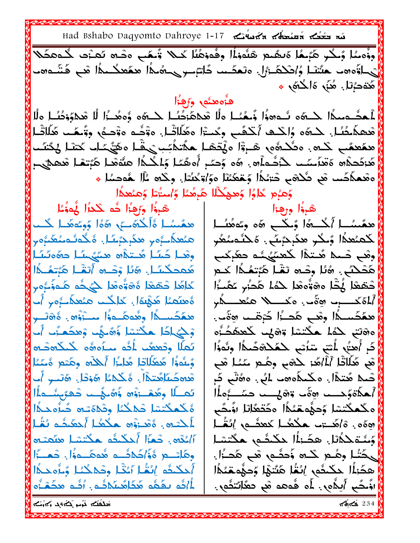Had Bshabo Daqyomto Dahroye 1-17 محتفى بالمستحكم بتعليم المستحكم بمن

وَوْدَسُا وُكْبِ هَٰٓبَـهُا دَنفَـٰمِ هَنُدوٰلُما وَقُدوٰهُمُا حَـٰلا وُّـهُبِ دَتْـهِ نَعْـرَت كُـدهكُـلا الْكِيَاةُ وَمِّنَا فَيْتَ الْمَدْمَنِينَ مَنْ مَسْكُمَا ، وَأَسْتَفَادَ مِنْ الْمَسْتَمَاءَ مِنْ الْمَسْت || مُتَحَرُّلُ . مُنَّى هَالْكُنَّى \*

فأوهثم وإجأا

لْمَصّْــمىماً للـــوَّه تُــموهُّا وُممُـُــا ملَّا مْدَهَدْتُــا للــوَّه وُممُــہُّا لَّا مْدَوَّوْتُــا ملَّا مْعِكْمِئْمَا. كِنَّهُمْ وُاجْدِ ٱتْحْفَى وِكْتْزَا مِغْلَاتْيا. مْوْشُمْ مْوْصِهْد وْتُسَمَّتْ هَٰلَاتْيا محْمَعَهِمْ حَاسَنَةٍ مِنْ مَاسَرَةٍ مِنْ مَحْمَدَ مَعْ الْمَسْتَمَرَّةِ مِنْ مَنْ مَعْ مَعْ مِنْ مَ مَّرْكُحِكُلُه هَقْدَسَتْ حَزَّشُمْلُهِ . هُو وَحَسْرِ أُوهَّمَا وَلَمْحُكُمَّا هِنَّوْهَا هَرْهَيْ ج ەقىمكْصّْب قىي ئَكْتَى شَتْكُلُّ وُجْعَكْنْلْ دَوُّاقِكْتُلْ. وِكْتَ عُلَّا جُدْمَعْلَ م وَهزُم كَاوُا وَهِجَكْلًا هَرِهُمْا وَاسْتُهَا وَهِمْهِاً

هْبِوُّا وَرَجْزًا هُمْ كَلْدًا يُّووُّعًا همُسُا ةُأَكْتَهَــَىٰ 56أ وُوعَقِعًا كَـــ ھئعداً وُمِر ھکرِجرِّسًا. ڈگوئمنگوُمر وهْدا حُسًا هُتَدَّه هِسَيُسًا حَوَّمَتَكَ مُعجَّمَا. وَمَا وَجْهِ أَنْقَا هَٰتِمُكُمْ كَاهَا دْعْعْا هُوْتُوهْا كَيْݣُو مُوفْرُون ةَهتَمِيًا هَٰذَلِكَا. كَالِكُت هِنُعِدَاتُوبِ أَب مَعَّصُبِيكَا وَهُوصَّوْدُا مِيْزْوُهِ ، وْݣْقْبِ وْكَهَاهَا هَكْتَمْا وُهُنِّفَ وْهَجُمْنَ أَبْ تَعَلَّلَ وتَعتقُب امْثُم مِسَرَّة وَهُو كَسَكَّدَة مَدَّ وَعِنُواْ هَٰجَكَٰلِاتِیا هَٰدِیْزَا أَیْکُلُو وَجَمْعِ وَعَیْدَا هْدەكْسَلْهُتْدَا. هُكْلِمْلْ هُوْتْلْ. هُنْسِ أَبْ لَّكَـــاْا وَهُكَـــْزْوُهِ وَهُــهُــبَ كَــْدَّمِيشُــدَاْا وَّكْمَكْتَسْلَ شَهْكْنَا وَشَهْدَتُهُ شَذُوكَهُا أَكْتُهِ . ةُمْتَوْتُو مَكْعُدا أَحْقَدْهُ تُغُّل أَالْخُومِ. شَعَزًا أَحكَمْشَا هَكَنْشَا مِنْعَشُو وهَاتِي وَذَاكُمْثُيه هُوهُيوؤُل: شَعْبَرُا أَحكَّمُه إِنْقُا آَنْثَا وَعُمْكُنَا وُءًٛوَحِكَٰا لْمُ الْحَمْدِ هَٰذَاهُمْتَكُلَّفُ وَالْقُدِ مَحَكَّرٌهُ وَ

## هْبِوُّا وِرِهِزا

همُسُــا أَكْــــرُهُا وُلِكَّــــرِ رَهُه وكوهُنُــا ِكْعِنُعَدُا وُلِكُرِ مِكْرِد*َئِ*تِّ ، ەَكْتُم*ىُ*تُور وثب تسمه شتماً كمشهُدُه حفَرِكب هَدْكَبَ. هُنُا وِدْهِ تَغْلِ هَٰئِتُمُكُلُّ كَلِمْ حْقَعْا لُخْا هِوْتُومْا حَدُا هَدُر عَمْدُا أَلْمَكَــــــوِ وَةَبٍ مَكـــــلا هنُعـــــدُم همَّكَسِـدًا وقب هَجَـزُا كَرْقَـب وَةَب. ەۋت حدًا ھكتشا ۋۇي كعكشُر كَرِ أُهتُهٖ لُمْتِي حَبَائِبِ حَمَّلاةَحَمْلًا وِثَمَوُّا أَهْدٍ هَٰكُلاَثَا ٱءُلَاهَذِ حَدْثَى وِصُـْعِ مَنْنَا هُدِ َّصْطِ هُتَّىْدًا. مَكْتَكُوهُتْ بِأَيْ. وَهُنَّى كَرِ أَهْلَاهَ وَسَلَّاءُ مِنْهُمْ وَالْمُؤْمَّلُ مِنْ الْمُؤْمَلُ الْمُؤْمَنَّةُ مِنْ مكْمِكْتَسْا وُحِهُمْمْتُمُّا مِخْتَعَّابْا رُزْحَٰب الْغُمَّارِ وَاهْتِ مِكْعُمَّا كَعْدَّے إِنْغُمَّا وَٰٮنٌـتَـهَـٰذُالًا. هَذَـٰٓ : مَا مَدْشَـٰهِ حَدَّثَـٰہَـٰا الْمِحَتُما وهُـع كَـــرَه وَحَشَــمٍ هَـــوَ مَحــرًا. أَهْدَٰءُا حكْدُمٍ إِنْقُا هَنَّنْهَا وَحِؤْمَقْنُهُا |اوْحْصٌمِ أَلِـدُّهِ. لَمَ قُوعو هُم حقَّاتَتفُوم.

حَدُوْمَة مِرْحَمَدُ مِاهِمْ حَدُّوْمُ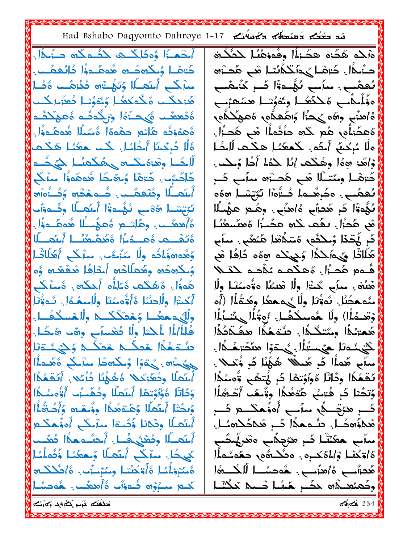Had Bshabo Daqyomto Dahroye 1-17 محتفظه المستحدثة المتفقح بتفقيح بدين

أَحْمَـزَا وُوَكَلِكْــِهِ لِكُــوكُمْ صَزْبِكَلْ. كَتِهْلُ وُلْكُوكُمْ هُوصًووُ أَكْرَنُعْفَبٍ. سألَّل أَسَّصَلَّا وَتَجْتَنُ قُدُرْهَــب وَّضًا هُبْنَكُتْ ةَتْدَمَنُكُمْ وَتُوْصَلْ فُعَزَّىٰلِكُتْت ةَ تَعتقَب مُّ حَنَّهُ! وَرَبُّدَتُ وَهَدَلَتْ وَ ةُهوَدُه هَاتِم حقْوَةَ أُمَّسُلًا هُوصًووُّل. ةَلَّا دُبِّكْتَا أَجْابُا. كُتْ هَقَبْا هَكْتُ لَّامُكُمْ الْمُكْمُرِ مِكْدَةَ وَمَعَ الْمُمَالَ كَاكْبُوب حُرْهَا وُءَمَكَا هُوهُووُا مِنْكَى أَمِنُعَسِلًا وَقُتَفَقَسَتَ فَسَمَعْتُمَ وَقُسُرُوْهِ تَوْتِسْا هُوْبِ نُؤْجُوْا أُمِّكِمَا وِثْدَوْك ةُ أَمِيعًى . وهَاتِ وَهُ مَهْنَا اللَّهُ هَذَا وَأَنْ وَيُفْسِمِ وَهِسْهُمْ الْمُهْتَمِعُيْسَا أَسْهَسْلَلْ وَهُدوووَ ادْ مِنْ الْمُؤْمَدِينَ مِنْ كُلِّي أَهْلَاتْهَا وُكْلِودُه ومُعَلَّادُه أَحْافًا مْفْعْدِه وُه هُوَوَٰلَ. ةَهَكَّمَ ةَعَلِلُه أَحكُمَ. ةَسْتَكَم أَكْتْرَا وِلْاحِنُمْا ةَأَوّْْمِيْنَا وِلْلِمِيْدَا. ثَدَوْنَا ولُلَي معدُ الْمُعَنْذَكَ لَمْ وِلْالْمُسْكُفُ!. فُلَّمَاٰماً لَمَحْتَلَ وَلَا تُعْتَسَنَبِ وَهُبَ هَجْمَاً. حنَّـتَمْمُاْ هْحكْــمْ هْضَّــمْ وَحْيَـمْـتَة لَــا مَعَيْنَ مِنْ الْمَسْتَمَرَّةَ وَمَسْتَمَرَّةٍ مِنْ مَسْتَمْسَمَّ أَسَّطًا وِحُعَّنَكَ ۚ ةَهُهُمَّا حُرَّسٌ ۚ أَنَفَعُمَّا ا وَدَّاتًا وَوَّأَوْتِهَا أَعْمَلًا وِدُهَٰتُ أَوَّْمِنُكُم وَبِّتْنَا أَعْبَٰمَلَا وَهَـٰٓءَهُدًا وِذْهَـٰهِ وَأَحُـٰتَهُٰٓاْ أَسَٰعلًا وَثَلاثًا وَثَمَّةًا سَآسَكَ أَهوَّهكُمْ أَمَنَعَــلَا وَحُعْبُىٰ هُــل. أَمْحَنَــمِـمَاْلِ حُعَّــب كَيْحِدًا. سَآلَكَمْ أَسْكَنَا وُسْعَدًا وُدَّدَاْسًا ةَمَتَرْفِلُهُا ةَأَوْجُعُهُا مِمَّتُوجُو وَأَقْلِكُ وَ كُمُو سَيُرُوهُ شُورَتَ وَأَهْدِهُمْ فَيَقْدَمُوا

وْلِكُمْ هَٰجَاهُ هَجَـٰٓ وَاللَّهُ وَهُوَجَٰكُـ مَنْكُـ وَهُوَ وَجَعَلَتُ حَبُّكُمْ . حَـٰهَ لَـتَدْهُرَ لِـصْنَةٌ . الْمَنْت ىُعمَّى . مآى نُؤْمُةً كُن كَتَمَّى ەزَلَمْكَى ەَكْتَعَىٰ رَتَّەرُسَا ھىنىمَبْت هُ/هنَّجٍ وهُ٥ ﴾ عنْ أَعْكَرُهُ وهُمْ وَتَعَلَّمُكُمْ وَتَعَلَّمُوا هُ |هَحَدَٰٓلُو هُم كُلُّه حَاثَمَاً ا هَبِ هَحَدًا. ولًا يُرِكْبُنُ أَيضُو. كَمِعْتُمْ هِكْتُ لَلْحُارْ وْاهَٰ: 169 وهُكْم إِنَّا لِكُمَّا أَمَّا وُسْمٍ. دَّوْمَـا وِمُتَــْلَا هُــِ هُـدَرْه مِلَى كَــزِ ىُعمَّى ِ. ەكْرِهُــما كُــُّوْا لَهُبْسْـا رەەُە نُؤْوَةًا ثَمِ هَٰدِأَبِ وُاهِنَّبِ. وِصُـْمِ هِهُــُلَّا هْمْ هَٰدُرَا. بِعَْفِ كَلِهِ هَجُبُرَا هَمِنُبِيعُبُنَا ضَ لَمُحْدًا وُحكْمٍ هَتَدَاهَا هَنُعُبٍ. سَأَبِ مَعَلَّاتُهُ وَجَمَّدَهُمْ وَحَيْدَهُ وَوَمَّةٍ وَأَعْلَى مَّا مِنَّا وَالْمَعَلَّاتِ قُوم هُدُرًا. هُهكْمُمْ يُؤْمِمْ لِلْعَلَمَ َ هْنُهُ . سِنِّي كَتْرًا وِلًا هْنِئُلْ هَوْمِنُنْدَا وِلًا مِنْدِهِدَٰىٰلٍ. نُدَوُّنْلِ وِلَّا يُحِجِعُد وَهَٰذَٰہِ اللّٰہُ وَ وْقْدْهُاْ) وِلْا هُمْسكْكُمْ إِيْهِ تُقْلُلُ مِنْتَ رُلَّالُهِ هَٰهَ:مُمَّا ومُتَنكَّدًا فَلَتَمَهُّمَّا مَدَّمَّدُو . الْمُـمْتِصْنَة اوْصَى الْمَتْسِرْمِ لِتَصْرِيَّةَ مِنَّابٍ هُدَاًا کَرٍ هُمِلًا هُوُبُا کَرٍ وُتَمِلاً . لَفَعُدًا وِثَاتًا هُوَاوُتِهَا ثُم يُتفُعِ وُّومُكُا وَتَحَتَا كَرٍ قُتِنَى هَٰذَهُدًا وِقُعَفَ أَتَــٰهُـلَٰا كَبِ هَوَّتِـــكُمْ مِنَاـبٍ أُهْبُـمثَــــهِ كَـــرِ |مْدْأَوْهْدًا. تِشْمَدُّا ثَبِ مْدْثَكُوسًا. مآب مَعَنْتَا ئَمِ مَرْجِدًا وَمَرِيَهُمْ هُ/وَكُنْا وْ/اهْكْرِه. هَنْدْشُهر حَقَّصْدَاْ |هُدأَسب هُ/هزَّسب . هُودسُـــا لَلْكَـــــهُ| وحُمسُه هُم حَصَّرِ هَسُا تَسْمَ تَكْتَبَا

حَلَّهُمْ مَرْحَمْ بِمَهْمَ حَلَّفُكُمْ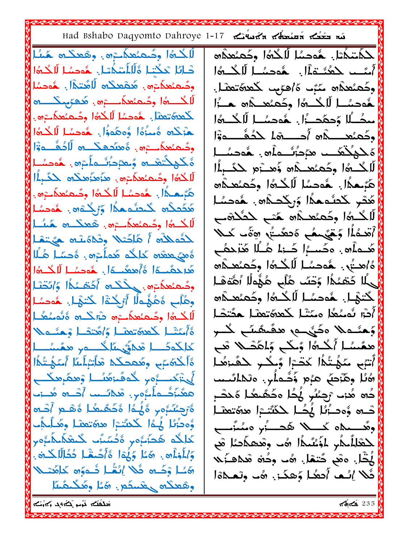Had Bshabo Daqyomto Dahroye 1-17 محمَّد الله المستمرِّج المستمرِّج بمن المستمرِّج المستمرِّج المستمر

لَّاكْمُهُ اوضُعِنُعِكُتِهِ . وَعْعِكْمِ هَيْئًا دْائا حْكْتا ةْلّْلَمْتْدْدَا. حْمْحِسْا لْأَحْدْهُ! وَصَّعْتَهُمْ وَمَنْ الْمُسَلَّاتِ وَالْمُسَلَّاتِ الْمُؤْمَنَ لَّاجْدُ وَا وَحَيْمَتُعَدَّمَ مِنْ مَعْ مِجْمَعِيْدَ مِنْ لْكَعِنْوَةَتّْعَيْنَانَ هُوَجِسًا لِّلْكُوهَا وَجّْبِعَمْعَكُمْتِرْوِنَ. هَزَكُلُهُ وَسُزُوْا وُوهُوزًا. هُوصُبا لَاجْحُوا وضَّعبُعدَ السَّرْهِ . هُ مَنْدَهكْلِ اللَّهُ الْمُقْسَمَةِ ا ةَ كَمِحْتَعْبِ هُ مِحْرَدُتُ مَأْتِرِهِ . هُوصُبا لَّالِكُمُّا وَحَسَنُعِكُمْ وَمِنْ مِنَوْعِنُوْ مِنْكُلُوا لِكَلِّمَا هَّزَىمِيدًا بِ هُوصُبا لَّاجُدُوْا وِصُعِبُعِيدَ وِصِ مَدَّدَدُه لَكْتَشْمَعْدُا وَيُكْتَفِقِ هُوصُل لَاجْمَا وَحُمْعَكُمْ وَ هَعْكُمْ وَ مَمْثَلِ لمُفَعَلَاتُهِ أَكْلَاتُكُمْ وَشَدَّدُتُهُ عَهَّتُهُمْ ةُ من محمَّده كالله مُحالَّةِ من ذَكِّ مُلَّا هَرَحِمَيْدَا وُأَمِيمَاتِ هُوَجِسًا لَلْكُلُوا وصَّعبُعدَهُ عِنْ وَالْكُلُّمِ أَكْتَفَسُلَا وَاتَّخْفَا ومُلْبِ ةَمُمْدَلًا أَيُكْتَا كُتِمْلٍ. هُوصُل لَّاجْدُوا وَحُمْعُوهُ حَوْمَ حَوْرَجَة وَمُحَمَّدًا ةَأَمَنْتُمَا كَعِنْ تَعْشَا وَاهْتِشَا وَحَسَمَلًا كالكوكسا شدق سلاكس مو معسله ذَأَكْفَسَ وهُمحكم مْلَتْبِلَّىنَا أَسَمُتُمَا لُيْزَىْمِـــزُەرِ گُەفَىزْھَلَــا ۋەھەرەتكــــ هَعَّنَزْشُــهِأَيْرُهِرٍ. مَجْلاَيْــبِين أَشْــرَه مُيْــزِين ةَ ْرَحِنْنُدُومِ ۚ وَّلُّـهُۥ ۚ وَّحَشَّمَعُـ ۚ وَّقَــم أَتَــه وُّەدُنُا لُےا كَحتَنْهِ مِدەَتعِنْا وِهَـلُـجُب كَلِكُم هُجَنُبُومِ ةَجُسَنُفَ كَنْعَكُنكُمْ وَمِ وَالْمُذْآهِ . هَمْا وَلُهَا ۚ ةَأَصَّغْـا تُحُالًا كَـٰهَ . هَـُـا وَحَــه شَلا إِنْشَا شَــهوَه كَاهَنَــلا وشَعْنَكُمْ بِمُسْمَعْ مِكْتَمَيْتًا وَمَكْتَمَتًا وَسَلَّمَتُ

للمُتلَمثِلِ. هُوصِمًا لَمَا كُلُوا وحَمِمُعِدْوِهِ أُمِّب حَعْثَ عَلَّا . هُوجِسًا لَلْكُ وَا وكَهِمُعِدْاهِ مِمْرُبٍ هَ/هِمِّبٍ لِلْحِدِهَ تَعِدْلِ. هُوصِيُا لَمَاحُدِيُّا وَحُمِيُعِنَدِيَّةِ مِنْزَا محْسُلًا وَحِمَّحِسُرًا . هُوجِسُطِ لَّاجُصِوَٰا ەَحْكِكْتَفَــــا مْزَحَزْتُـــەلْمْ. ۿُەحسُـــا لَّاكْسُوا وحُمْسُكُوه وُهِــتُوم حَكَــرأَا هَّزْمِهْلْ. هُوصِيُلْ لَلْكُبُولْ وِجُعِيْعِيْدُو هَدْرِ كَدْتُمْهَاْ وُرِكْحَلَاهِ. هُمْحَسَّا لَّاكُــهُا وِحَمْسُــدُه هَـْمِ حَمْكُـهْـمِ ٱقشاهُ أَرْتَمُهُمْ وَهُرُوْتُهُمْ أَهْمَا كُلُّمْ الْمَسْتَرَةِ وَالْمَسْتَمَرَّةَ مِنْ الْمَسْتَمَ هُـــولُمِ . وَحَســرُا حَــزا هُــلَا هَٰـتَرحمُــح هُ/هنُو. هُوصمُا لَاحُدُهُ! وِحَمِّعْدَاهُ حِلًا كَتْصُدًا وَحْتَ هُلْ هُوْهَاْ اُهُنْقَا لَ كتمْ ا. هُوصُا لَاحْدُهُ! وحُمْعِدْهِ أَحْرَ، ثَمِمُعُلِ مِمَّتْلِ كَعِدَهُ تَعِثْلِ حَقَّتِهَا وُهنُــه لا هَدُيْــهِ هِـقَـنِقَمَـٰـ لَمْــبِ همُسُلم أَكْشَا وُكُب وُاهَضْلا شَي أَتَبَعٍ مَنْهُتُمَّا كَذَبَا وُحِكْـرٍ حَقَّـٰ;هُـا هُنُا وِهُٓ;حَبُ هزُم ؤَحُـمأَبِ. هَـْمَائَـــب |هُ٥ هُٰڹ ٛڔۡحِنُنُو لُمَا هَهُمَعُـا هَـدَـُــرِ دَّه وُهِدَٰٓرُٰلُمْ لَهُكُمْ لِكُنَّتَہِۢا هِمَّتَعِنْدَا وقُسْسِمُه كَسْلًا هُصْبُو مِمْنُزَسِي لِكَعْلِلُكُم لِمُؤَمِّنُكُم اللَّهُ وقَدِهِكُومَا قَدِ لْمُثْلِ. هِ مَعْ شَعْلَ. هُبْ وِجُهْ هُدْهِ يَلْا · ثُلا إِنَّـم أَنصُل وَهكَـٰ: . هُـٰ وِتَعَـٰ\ةَا

 $\pi$ ar $\leq$  235